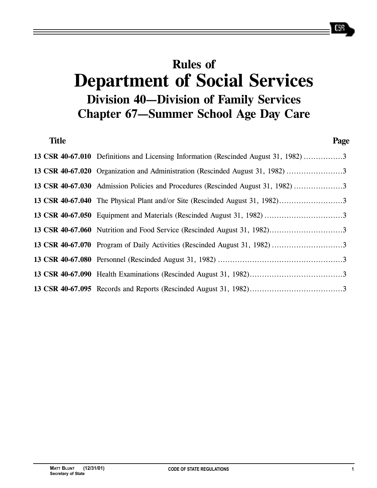# **Rules of Department of Social Services Division 40—Division of Family Services Chapter 67—Summer School Age Day Care**

| <b>Title</b> |                                                                                      | Page |
|--------------|--------------------------------------------------------------------------------------|------|
|              | 13 CSR 40-67.010 Definitions and Licensing Information (Rescinded August 31, 1982) 3 |      |
|              | 13 CSR 40-67.020 Organization and Administration (Rescinded August 31, 1982) 3       |      |
|              | 13 CSR 40-67.030 Admission Policies and Procedures (Rescinded August 31, 1982) 3     |      |
|              | 13 CSR 40-67.040 The Physical Plant and/or Site (Rescinded August 31, 1982)          |      |
|              |                                                                                      |      |
|              |                                                                                      |      |
|              |                                                                                      |      |
|              |                                                                                      |      |
|              |                                                                                      |      |
|              |                                                                                      |      |